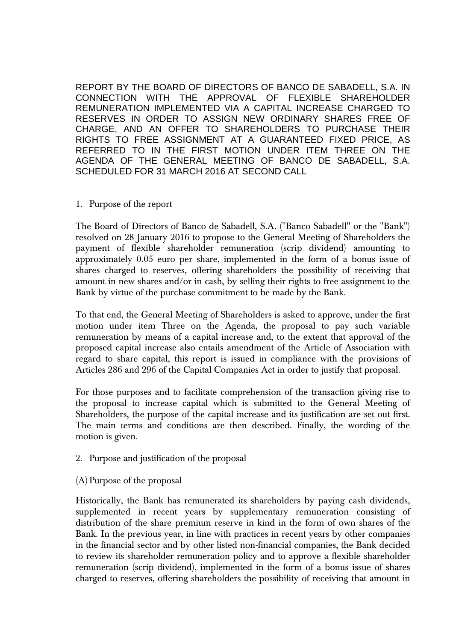REPORT BY THE BOARD OF DIRECTORS OF BANCO DE SABADELL, S.A. IN CONNECTION WITH THE APPROVAL OF FLEXIBLE SHAREHOLDER REMUNERATION IMPLEMENTED VIA A CAPITAL INCREASE CHARGED TO RESERVES IN ORDER TO ASSIGN NEW ORDINARY SHARES FREE OF CHARGE, AND AN OFFER TO SHAREHOLDERS TO PURCHASE THEIR RIGHTS TO FREE ASSIGNMENT AT A GUARANTEED FIXED PRICE, AS REFERRED TO IN THE FIRST MOTION UNDER ITEM THREE ON THE AGENDA OF THE GENERAL MEETING OF BANCO DE SABADELL, S.A. SCHEDULED FOR 31 MARCH 2016 AT SECOND CALL

1. Purpose of the report

The Board of Directors of Banco de Sabadell, S.A. ("Banco Sabadell" or the "Bank") resolved on 28 January 2016 to propose to the General Meeting of Shareholders the payment of flexible shareholder remuneration (scrip dividend) amounting to approximately 0.05 euro per share, implemented in the form of a bonus issue of shares charged to reserves, offering shareholders the possibility of receiving that amount in new shares and/or in cash, by selling their rights to free assignment to the Bank by virtue of the purchase commitment to be made by the Bank.

To that end, the General Meeting of Shareholders is asked to approve, under the first motion under item Three on the Agenda, the proposal to pay such variable remuneration by means of a capital increase and, to the extent that approval of the proposed capital increase also entails amendment of the Article of Association with regard to share capital, this report is issued in compliance with the provisions of Articles 286 and 296 of the Capital Companies Act in order to justify that proposal.

For those purposes and to facilitate comprehension of the transaction giving rise to the proposal to increase capital which is submitted to the General Meeting of Shareholders, the purpose of the capital increase and its justification are set out first. The main terms and conditions are then described. Finally, the wording of the motion is given.

- 2. Purpose and justification of the proposal
- (A) Purpose of the proposal

Historically, the Bank has remunerated its shareholders by paying cash dividends, supplemented in recent years by supplementary remuneration consisting of distribution of the share premium reserve in kind in the form of own shares of the Bank. In the previous year, in line with practices in recent years by other companies in the financial sector and by other listed non-financial companies, the Bank decided to review its shareholder remuneration policy and to approve a flexible shareholder remuneration (scrip dividend), implemented in the form of a bonus issue of shares charged to reserves, offering shareholders the possibility of receiving that amount in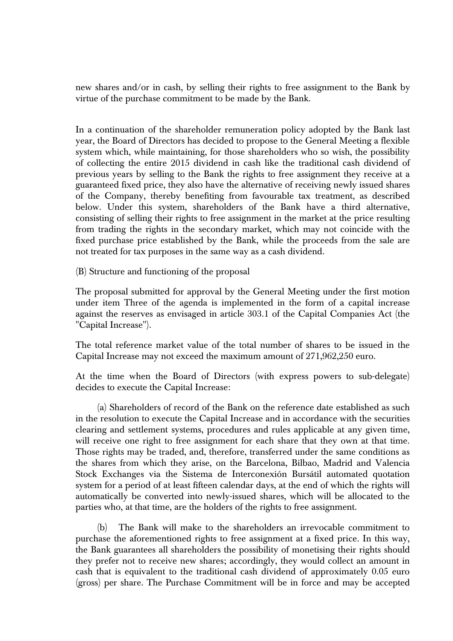new shares and/or in cash, by selling their rights to free assignment to the Bank by virtue of the purchase commitment to be made by the Bank.

In a continuation of the shareholder remuneration policy adopted by the Bank last year, the Board of Directors has decided to propose to the General Meeting a flexible system which, while maintaining, for those shareholders who so wish, the possibility of collecting the entire 2015 dividend in cash like the traditional cash dividend of previous years by selling to the Bank the rights to free assignment they receive at a guaranteed fixed price, they also have the alternative of receiving newly issued shares of the Company, thereby benefiting from favourable tax treatment, as described below. Under this system, shareholders of the Bank have a third alternative, consisting of selling their rights to free assignment in the market at the price resulting from trading the rights in the secondary market, which may not coincide with the fixed purchase price established by the Bank, while the proceeds from the sale are not treated for tax purposes in the same way as a cash dividend.

(B) Structure and functioning of the proposal

The proposal submitted for approval by the General Meeting under the first motion under item Three of the agenda is implemented in the form of a capital increase against the reserves as envisaged in article 303.1 of the Capital Companies Act (the "Capital Increase").

The total reference market value of the total number of shares to be issued in the Capital Increase may not exceed the maximum amount of 271,962,250 euro.

At the time when the Board of Directors (with express powers to sub-delegate) decides to execute the Capital Increase:

(a) Shareholders of record of the Bank on the reference date established as such in the resolution to execute the Capital Increase and in accordance with the securities clearing and settlement systems, procedures and rules applicable at any given time, will receive one right to free assignment for each share that they own at that time. Those rights may be traded, and, therefore, transferred under the same conditions as the shares from which they arise, on the Barcelona, Bilbao, Madrid and Valencia Stock Exchanges via the Sistema de Interconexión Bursátil automated quotation system for a period of at least fifteen calendar days, at the end of which the rights will automatically be converted into newly-issued shares, which will be allocated to the parties who, at that time, are the holders of the rights to free assignment.

(b) The Bank will make to the shareholders an irrevocable commitment to purchase the aforementioned rights to free assignment at a fixed price. In this way, the Bank guarantees all shareholders the possibility of monetising their rights should they prefer not to receive new shares; accordingly, they would collect an amount in cash that is equivalent to the traditional cash dividend of approximately 0.05 euro (gross) per share. The Purchase Commitment will be in force and may be accepted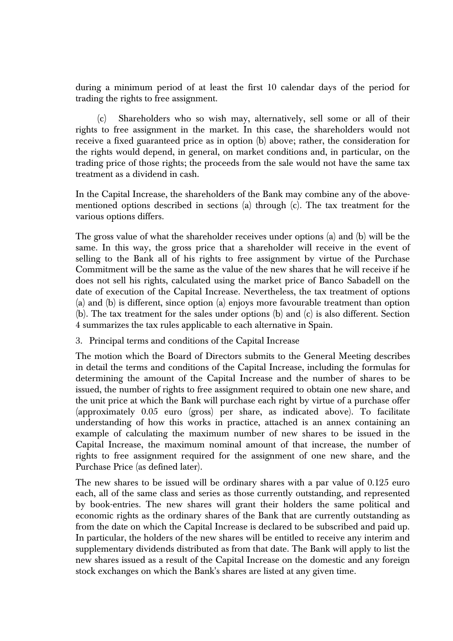during a minimum period of at least the first 10 calendar days of the period for trading the rights to free assignment.

(c) Shareholders who so wish may, alternatively, sell some or all of their rights to free assignment in the market. In this case, the shareholders would not receive a fixed guaranteed price as in option (b) above; rather, the consideration for the rights would depend, in general, on market conditions and, in particular, on the trading price of those rights; the proceeds from the sale would not have the same tax treatment as a dividend in cash.

In the Capital Increase, the shareholders of the Bank may combine any of the abovementioned options described in sections (a) through (c). The tax treatment for the various options differs.

The gross value of what the shareholder receives under options (a) and (b) will be the same. In this way, the gross price that a shareholder will receive in the event of selling to the Bank all of his rights to free assignment by virtue of the Purchase Commitment will be the same as the value of the new shares that he will receive if he does not sell his rights, calculated using the market price of Banco Sabadell on the date of execution of the Capital Increase. Nevertheless, the tax treatment of options (a) and (b) is different, since option (a) enjoys more favourable treatment than option (b). The tax treatment for the sales under options (b) and (c) is also different. Section 4 summarizes the tax rules applicable to each alternative in Spain.

3. Principal terms and conditions of the Capital Increase

The motion which the Board of Directors submits to the General Meeting describes in detail the terms and conditions of the Capital Increase, including the formulas for determining the amount of the Capital Increase and the number of shares to be issued, the number of rights to free assignment required to obtain one new share, and the unit price at which the Bank will purchase each right by virtue of a purchase offer (approximately 0.05 euro (gross) per share, as indicated above). To facilitate understanding of how this works in practice, attached is an annex containing an example of calculating the maximum number of new shares to be issued in the Capital Increase, the maximum nominal amount of that increase, the number of rights to free assignment required for the assignment of one new share, and the Purchase Price (as defined later).

The new shares to be issued will be ordinary shares with a par value of 0.125 euro each, all of the same class and series as those currently outstanding, and represented by book-entries. The new shares will grant their holders the same political and economic rights as the ordinary shares of the Bank that are currently outstanding as from the date on which the Capital Increase is declared to be subscribed and paid up. In particular, the holders of the new shares will be entitled to receive any interim and supplementary dividends distributed as from that date. The Bank will apply to list the new shares issued as a result of the Capital Increase on the domestic and any foreign stock exchanges on which the Bank's shares are listed at any given time.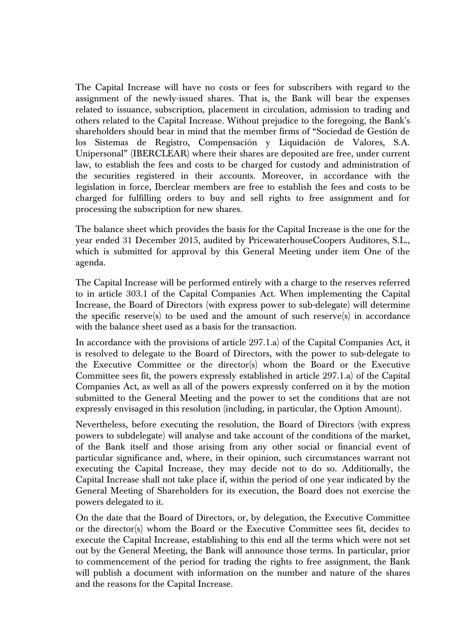The Capital Increase will have no costs or fees for subscribers with regard to the assignment of the newly-issued shares. That is, the Bank will bear the expenses related to issuance, subscription, placement in circulation, admission to trading and others related to the Capital Increase. Without prejudice to the foregoing, the Bank's shareholders should bear in mind that the member firms of "Sociedad de Gestión de los Sistemas de Registro, Compensación y Liquidación de Valores, S.A. Unipersonal" (IBERCLEAR) where their shares are deposited are free, under current law, to establish the fees and costs to be charged for custody and administration of the securities registered in their accounts. Moreover, in accordance with the legislation in force, Iberclear members are free to establish the fees and costs to be charged for fulfilling orders to buy and sell rights to free assignment and for processing the subscription for new shares.

The balance sheet which provides the basis for the Capital Increase is the one for the year ended 31 December 2015, audited by PricewaterhouseCoopers Auditores, S.L., which is submitted for approval by this General Meeting under item One of the agenda.

The Capital Increase will be performed entirely with a charge to the reserves referred to in article 303.1 of the Capital Companies Act. When implementing the Capital Increase, the Board of Directors (with express power to sub-delegate) will determine the specific reserve(s) to be used and the amount of such reserve(s) in accordance with the balance sheet used as a basis for the transaction.

In accordance with the provisions of article 297.1.a) of the Capital Companies Act, it is resolved to delegate to the Board of Directors, with the power to sub-delegate to the Executive Committee or the director(s) whom the Board or the Executive Committee sees fit, the powers expressly established in article 297.1.a) of the Capital Companies Act, as well as all of the powers expressly conferred on it by the motion submitted to the General Meeting and the power to set the conditions that are not expressly envisaged in this resolution (including, in particular, the Option Amount).

Nevertheless, before executing the resolution, the Board of Directors (with express powers to subdelegate) will analyse and take account of the conditions of the market, of the Bank itself and those arising from any other social or financial event of particular significance and, where, in their opinion, such circumstances warrant not executing the Capital Increase, they may decide not to do so. Additionally, the Capital Increase shall not take place if, within the period of one year indicated by the General Meeting of Shareholders for its execution, the Board does not exercise the powers delegated to it.

On the date that the Board of Directors, or, by delegation, the Executive Committee or the director(s) whom the Board or the Executive Committee sees fit, decides to execute the Capital Increase, establishing to this end all the terms which were not set out by the General Meeting, the Bank will announce those terms. In particular, prior to commencement of the period for trading the rights to free assignment, the Bank will publish a document with information on the number and nature of the shares and the reasons for the Capital Increase.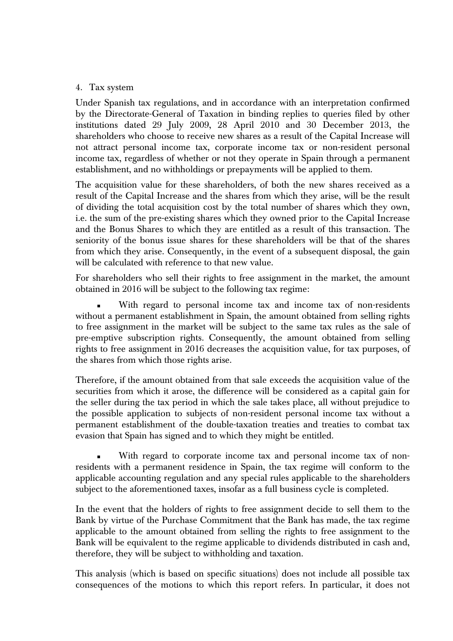### 4. Tax system

Under Spanish tax regulations, and in accordance with an interpretation confirmed by the Directorate-General of Taxation in binding replies to queries filed by other institutions dated 29 July 2009, 28 April 2010 and 30 December 2013, the shareholders who choose to receive new shares as a result of the Capital Increase will not attract personal income tax, corporate income tax or non-resident personal income tax, regardless of whether or not they operate in Spain through a permanent establishment, and no withholdings or prepayments will be applied to them.

The acquisition value for these shareholders, of both the new shares received as a result of the Capital Increase and the shares from which they arise, will be the result of dividing the total acquisition cost by the total number of shares which they own, i.e. the sum of the pre-existing shares which they owned prior to the Capital Increase and the Bonus Shares to which they are entitled as a result of this transaction. The seniority of the bonus issue shares for these shareholders will be that of the shares from which they arise. Consequently, in the event of a subsequent disposal, the gain will be calculated with reference to that new value.

For shareholders who sell their rights to free assignment in the market, the amount obtained in 2016 will be subject to the following tax regime:

 With regard to personal income tax and income tax of non-residents without a permanent establishment in Spain, the amount obtained from selling rights to free assignment in the market will be subject to the same tax rules as the sale of pre-emptive subscription rights. Consequently, the amount obtained from selling rights to free assignment in 2016 decreases the acquisition value, for tax purposes, of the shares from which those rights arise.

Therefore, if the amount obtained from that sale exceeds the acquisition value of the securities from which it arose, the difference will be considered as a capital gain for the seller during the tax period in which the sale takes place, all without prejudice to the possible application to subjects of non-resident personal income tax without a permanent establishment of the double-taxation treaties and treaties to combat tax evasion that Spain has signed and to which they might be entitled.

 With regard to corporate income tax and personal income tax of nonresidents with a permanent residence in Spain, the tax regime will conform to the applicable accounting regulation and any special rules applicable to the shareholders subject to the aforementioned taxes, insofar as a full business cycle is completed.

In the event that the holders of rights to free assignment decide to sell them to the Bank by virtue of the Purchase Commitment that the Bank has made, the tax regime applicable to the amount obtained from selling the rights to free assignment to the Bank will be equivalent to the regime applicable to dividends distributed in cash and, therefore, they will be subject to withholding and taxation.

This analysis (which is based on specific situations) does not include all possible tax consequences of the motions to which this report refers. In particular, it does not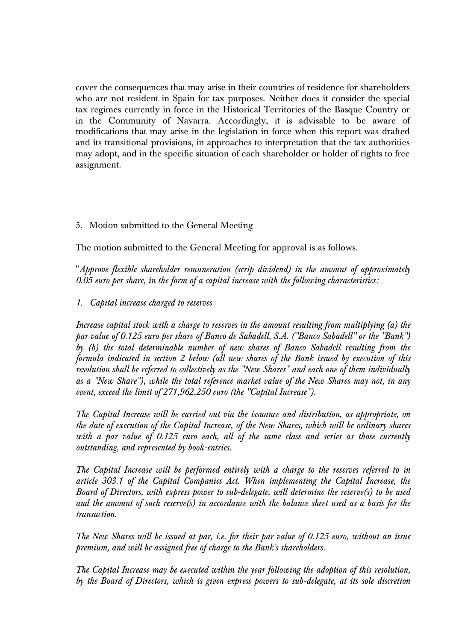cover the consequences that may arise in their countries of residence for shareholders who are not resident in Spain for tax purposes. Neither does it consider the special tax regimes currently in force in the Historical Territories of the Basque Country or in the Community of Navarra. Accordingly, it is advisable to be aware of modifications that may arise in the legislation in force when this report was drafted and its transitional provisions, in approaches to interpretation that the tax authorities may adopt, and in the specific situation of each shareholder or holder of rights to free assignment.

# 5. Motion submitted to the General Meeting

The motion submitted to the General Meeting for approval is as follows.

"*Approve flexible shareholder remuneration (scrip dividend) in the amount of approximately 0.05 euro per share, in the form of a capital increase with the following characteristics:* 

## *1. Capital increase charged to reserves*

*Increase capital stock with a charge to reserves in the amount resulting from multiplying (a) the par value of 0.125 euro per share of Banco de Sabadell, S.A. ("Banco Sabadell" or the "Bank") by (b) the total determinable number of new shares of Banco Sabadell resulting from the formula indicated in section 2 below (all new shares of the Bank issued by execution of this resolution shall be referred to collectively as the "New Shares" and each one of them individually as a "New Share"), while the total reference market value of the New Shares may not, in any event, exceed the limit of 271,962,250 euro (the "Capital Increase").* 

*The Capital Increase will be carried out via the issuance and distribution, as appropriate, on the date of execution of the Capital Increase, of the New Shares, which will be ordinary shares with a par value of 0.125 euro each, all of the same class and series as those currently outstanding, and represented by book-entries.* 

*The Capital Increase will be performed entirely with a charge to the reserves referred to in article 303.1 of the Capital Companies Act. When implementing the Capital Increase, the Board of Directors, with express power to sub-delegate, will determine the reserve(s) to be used and the amount of such reserve(s) in accordance with the balance sheet used as a basis for the transaction.* 

*The New Shares will be issued at par, i.e. for their par value of 0.125 euro, without an issue premium, and will be assigned free of charge to the Bank's shareholders.* 

*The Capital Increase may be executed within the year following the adoption of this resolution, by the Board of Directors, which is given express powers to sub-delegate, at its sole discretion*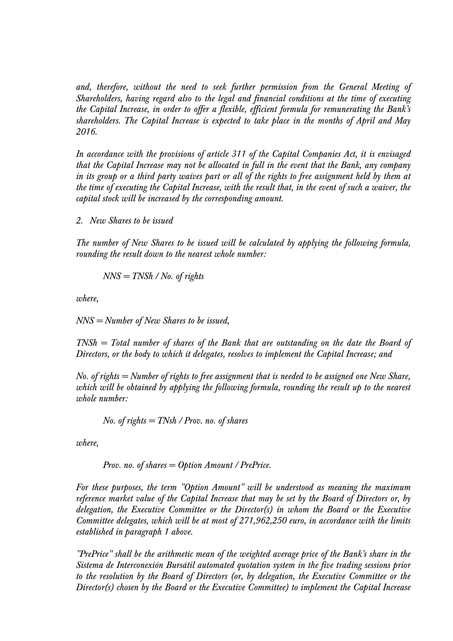*and, therefore, without the need to seek further permission from the General Meeting of Shareholders, having regard also to the legal and financial conditions at the time of executing the Capital Increase, in order to offer a flexible, efficient formula for remunerating the Bank's shareholders. The Capital Increase is expected to take place in the months of April and May 2016.* 

*In accordance with the provisions of article 311 of the Capital Companies Act, it is envisaged that the Capital Increase may not be allocated in full in the event that the Bank, any company*  in its group or a third party waives part or all of the rights to free assignment held by them at *the time of executing the Capital Increase, with the result that, in the event of such a waiver, the capital stock will be increased by the corresponding amount.* 

*2. New Shares to be issued* 

*The number of New Shares to be issued will be calculated by applying the following formula, rounding the result down to the nearest whole number:* 

$$
NNS = TNSh / No. of rights
$$

*where,* 

*NNS = Number of New Shares to be issued,* 

*TNSh = Total number of shares of the Bank that are outstanding on the date the Board of Directors, or the body to which it delegates, resolves to implement the Capital Increase; and* 

*No. of rights = Number of rights to free assignment that is needed to be assigned one New Share, which will be obtained by applying the following formula, rounding the result up to the nearest whole number:* 

*No. of rights = TNsh / Prov. no. of shares* 

*where,* 

*Prov. no. of shares = Option Amount / PrePrice.* 

*For these purposes, the term "Option Amount" will be understood as meaning the maximum reference market value of the Capital Increase that may be set by the Board of Directors or, by delegation, the Executive Committee or the Director(s) in whom the Board or the Executive Committee delegates, which will be at most of 271,962,250 euro, in accordance with the limits established in paragraph 1 above.* 

*"PrePrice" shall be the arithmetic mean of the weighted average price of the Bank's share in the Sistema de Interconexión Bursátil automated quotation system in the five trading sessions prior to the resolution by the Board of Directors (or, by delegation, the Executive Committee or the Director(s) chosen by the Board or the Executive Committee) to implement the Capital Increase*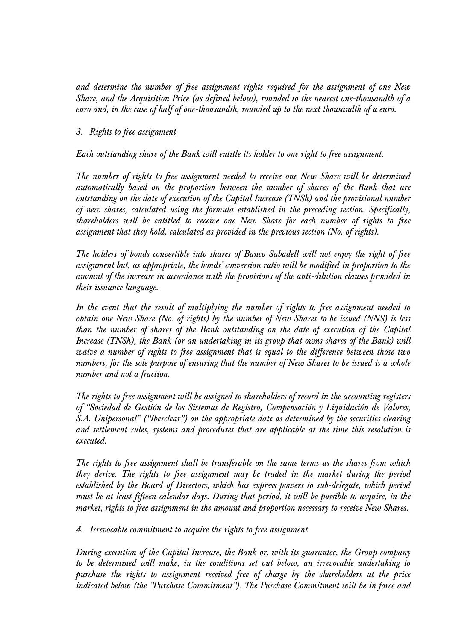*and determine the number of free assignment rights required for the assignment of one New Share, and the Acquisition Price (as defined below), rounded to the nearest one-thousandth of a euro and, in the case of half of one-thousandth, rounded up to the next thousandth of a euro.* 

## *3. Rights to free assignment*

*Each outstanding share of the Bank will entitle its holder to one right to free assignment.* 

*The number of rights to free assignment needed to receive one New Share will be determined automatically based on the proportion between the number of shares of the Bank that are outstanding on the date of execution of the Capital Increase (TNSh) and the provisional number of new shares, calculated using the formula established in the preceding section. Specifically, shareholders will be entitled to receive one New Share for each number of rights to free assignment that they hold, calculated as provided in the previous section (No. of rights).* 

*The holders of bonds convertible into shares of Banco Sabadell will not enjoy the right of free assignment but, as appropriate, the bonds' conversion ratio will be modified in proportion to the amount of the increase in accordance with the provisions of the anti-dilution clauses provided in their issuance language.* 

*In the event that the result of multiplying the number of rights to free assignment needed to obtain one New Share (No. of rights) by the number of New Shares to be issued (NNS) is less than the number of shares of the Bank outstanding on the date of execution of the Capital Increase (TNSh), the Bank (or an undertaking in its group that owns shares of the Bank) will waive a number of rights to free assignment that is equal to the difference between those two numbers, for the sole purpose of ensuring that the number of New Shares to be issued is a whole number and not a fraction.* 

*The rights to free assignment will be assigned to shareholders of record in the accounting registers of "Sociedad de Gestión de los Sistemas de Registro, Compensación y Liquidación de Valores, S.A. Unipersonal" ("Iberclear") on the appropriate date as determined by the securities clearing and settlement rules, systems and procedures that are applicable at the time this resolution is executed.* 

*The rights to free assignment shall be transferable on the same terms as the shares from which they derive. The rights to free assignment may be traded in the market during the period established by the Board of Directors, which has express powers to sub-delegate, which period must be at least fifteen calendar days. During that period, it will be possible to acquire, in the market, rights to free assignment in the amount and proportion necessary to receive New Shares.* 

*4. Irrevocable commitment to acquire the rights to free assignment* 

*During execution of the Capital Increase, the Bank or, with its guarantee, the Group company to be determined will make, in the conditions set out below, an irrevocable undertaking to purchase the rights to assignment received free of charge by the shareholders at the price indicated below (the "Purchase Commitment"). The Purchase Commitment will be in force and*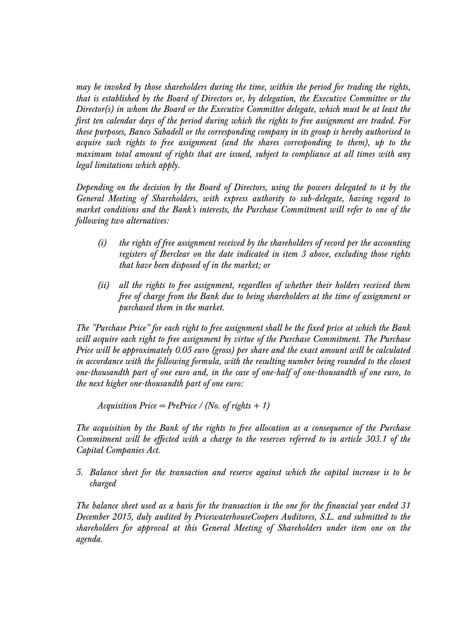*may be invoked by those shareholders during the time, within the period for trading the rights, that is established by the Board of Directors or, by delegation, the Executive Committee or the Director(s) in whom the Board or the Executive Committee delegate, which must be at least the first ten calendar days of the period during which the rights to free assignment are traded. For these purposes, Banco Sabadell or the corresponding company in its group is hereby authorised to acquire such rights to free assignment (and the shares corresponding to them), up to the maximum total amount of rights that are issued, subject to compliance at all times with any legal limitations which apply.* 

*Depending on the decision by the Board of Directors, using the powers delegated to it by the General Meeting of Shareholders, with express authority to sub-delegate, having regard to market conditions and the Bank's interests, the Purchase Commitment will refer to one of the following two alternatives:* 

- *(i) the rights of free assignment received by the shareholders of record per the accounting registers of Iberclear on the date indicated in item 3 above, excluding those rights that have been disposed of in the market; or*
- *(ii) all the rights to free assignment, regardless of whether their holders received them free of charge from the Bank due to being shareholders at the time of assignment or purchased them in the market.*

*The "Purchase Price" for each right to free assignment shall be the fixed price at which the Bank will acquire each right to free assignment by virtue of the Purchase Commitment. The Purchase Price will be approximately 0.05 euro (gross) per share and the exact amount will be calculated in accordance with the following formula, with the resulting number being rounded to the closest one-thousandth part of one euro and, in the case of one-half of one-thousandth of one euro, to the next higher one-thousandth part of one euro:* 

*Acquisition Price = PrePrice / (No. of rights + 1)* 

*The acquisition by the Bank of the rights to free allocation as a consequence of the Purchase Commitment will be effected with a charge to the reserves referred to in article 303.1 of the Capital Companies Act.* 

*5. Balance sheet for the transaction and reserve against which the capital increase is to be charged* 

*The balance sheet used as a basis for the transaction is the one for the financial year ended 31 December 2015, duly audited by PricewaterhouseCoopers Auditores, S.L. and submitted to the shareholders for approval at this General Meeting of Shareholders under item one on the agenda.*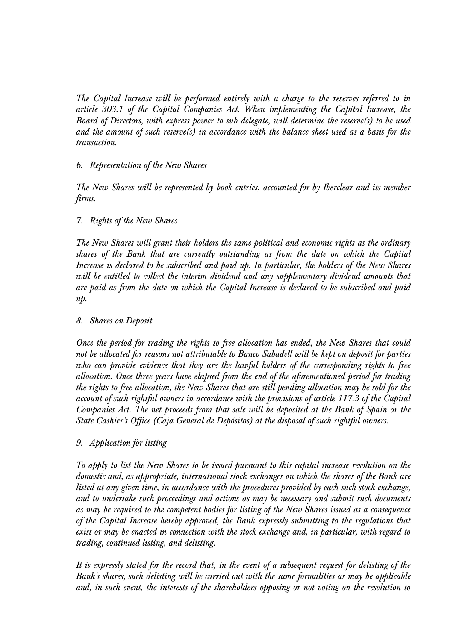*The Capital Increase will be performed entirely with a charge to the reserves referred to in article 303.1 of the Capital Companies Act. When implementing the Capital Increase, the Board of Directors, with express power to sub-delegate, will determine the reserve(s) to be used and the amount of such reserve(s) in accordance with the balance sheet used as a basis for the transaction.* 

## *6. Representation of the New Shares*

*The New Shares will be represented by book entries, accounted for by Iberclear and its member firms.* 

# *7. Rights of the New Shares*

*The New Shares will grant their holders the same political and economic rights as the ordinary shares of the Bank that are currently outstanding as from the date on which the Capital Increase is declared to be subscribed and paid up. In particular, the holders of the New Shares will be entitled to collect the interim dividend and any supplementary dividend amounts that are paid as from the date on which the Capital Increase is declared to be subscribed and paid up.* 

### *8. Shares on Deposit*

*Once the period for trading the rights to free allocation has ended, the New Shares that could not be allocated for reasons not attributable to Banco Sabadell will be kept on deposit for parties who can provide evidence that they are the lawful holders of the corresponding rights to free allocation. Once three years have elapsed from the end of the aforementioned period for trading the rights to free allocation, the New Shares that are still pending allocation may be sold for the account of such rightful owners in accordance with the provisions of article 117.3 of the Capital Companies Act. The net proceeds from that sale will be deposited at the Bank of Spain or the State Cashier's Office (Caja General de Depósitos) at the disposal of such rightful owners.* 

#### *9. Application for listing*

*To apply to list the New Shares to be issued pursuant to this capital increase resolution on the domestic and, as appropriate, international stock exchanges on which the shares of the Bank are listed at any given time, in accordance with the procedures provided by each such stock exchange, and to undertake such proceedings and actions as may be necessary and submit such documents as may be required to the competent bodies for listing of the New Shares issued as a consequence of the Capital Increase hereby approved, the Bank expressly submitting to the regulations that exist or may be enacted in connection with the stock exchange and, in particular, with regard to trading, continued listing, and delisting.* 

*It is expressly stated for the record that, in the event of a subsequent request for delisting of the Bank's shares, such delisting will be carried out with the same formalities as may be applicable and, in such event, the interests of the shareholders opposing or not voting on the resolution to*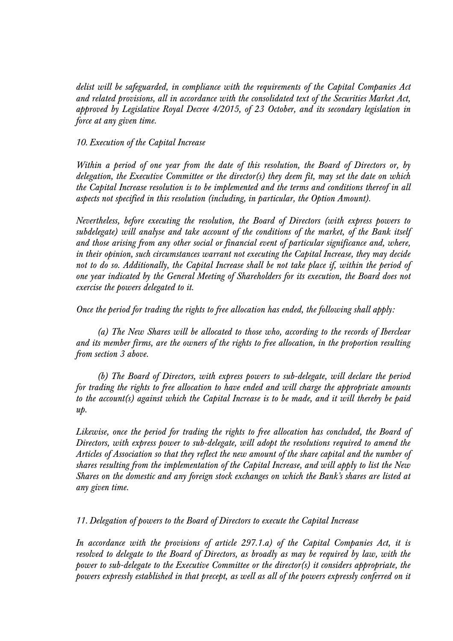*delist will be safeguarded, in compliance with the requirements of the Capital Companies Act and related provisions, all in accordance with the consolidated text of the Securities Market Act, approved by Legislative Royal Decree 4/2015, of 23 October, and its secondary legislation in force at any given time.* 

## *10. Execution of the Capital Increase*

*Within a period of one year from the date of this resolution, the Board of Directors or, by delegation, the Executive Committee or the director(s) they deem fit, may set the date on which the Capital Increase resolution is to be implemented and the terms and conditions thereof in all aspects not specified in this resolution (including, in particular, the Option Amount).* 

*Nevertheless, before executing the resolution, the Board of Directors (with express powers to subdelegate) will analyse and take account of the conditions of the market, of the Bank itself and those arising from any other social or financial event of particular significance and, where, in their opinion, such circumstances warrant not executing the Capital Increase, they may decide not to do so. Additionally, the Capital Increase shall be not take place if, within the period of one year indicated by the General Meeting of Shareholders for its execution, the Board does not exercise the powers delegated to it.* 

*Once the period for trading the rights to free allocation has ended, the following shall apply:* 

*(a) The New Shares will be allocated to those who, according to the records of Iberclear and its member firms, are the owners of the rights to free allocation, in the proportion resulting from section 3 above.* 

*(b) The Board of Directors, with express powers to sub-delegate, will declare the period for trading the rights to free allocation to have ended and will charge the appropriate amounts to the account(s) against which the Capital Increase is to be made, and it will thereby be paid up.* 

*Likewise, once the period for trading the rights to free allocation has concluded, the Board of Directors, with express power to sub-delegate, will adopt the resolutions required to amend the Articles of Association so that they reflect the new amount of the share capital and the number of shares resulting from the implementation of the Capital Increase, and will apply to list the New Shares on the domestic and any foreign stock exchanges on which the Bank's shares are listed at any given time.* 

*11. Delegation of powers to the Board of Directors to execute the Capital Increase* 

*In accordance with the provisions of article 297.1.a) of the Capital Companies Act, it is resolved to delegate to the Board of Directors, as broadly as may be required by law, with the power to sub-delegate to the Executive Committee or the director(s) it considers appropriate, the powers expressly established in that precept, as well as all of the powers expressly conferred on it*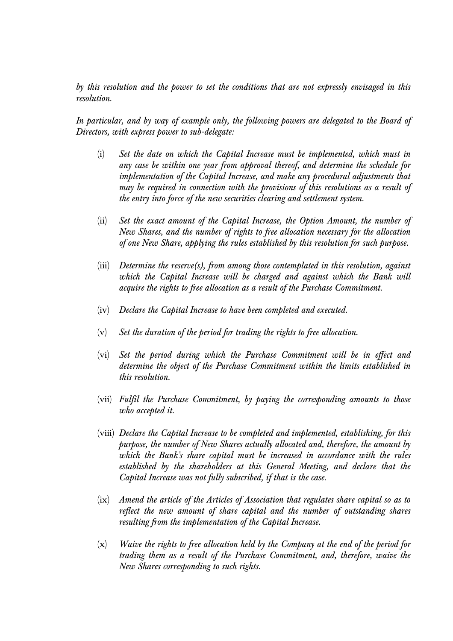*by this resolution and the power to set the conditions that are not expressly envisaged in this resolution.* 

*In particular, and by way of example only, the following powers are delegated to the Board of Directors, with express power to sub-delegate:* 

- (i) *Set the date on which the Capital Increase must be implemented, which must in any case be within one year from approval thereof, and determine the schedule for implementation of the Capital Increase, and make any procedural adjustments that may be required in connection with the provisions of this resolutions as a result of the entry into force of the new securities clearing and settlement system.*
- (ii) *Set the exact amount of the Capital Increase, the Option Amount, the number of New Shares, and the number of rights to free allocation necessary for the allocation of one New Share, applying the rules established by this resolution for such purpose.*
- (iii) *Determine the reserve(s), from among those contemplated in this resolution, against*  which the Capital Increase will be charged and against which the Bank will *acquire the rights to free allocation as a result of the Purchase Commitment.*
- (iv) *Declare the Capital Increase to have been completed and executed.*
- (v) *Set the duration of the period for trading the rights to free allocation.*
- (vi) *Set the period during which the Purchase Commitment will be in effect and determine the object of the Purchase Commitment within the limits established in this resolution.*
- (vii) *Fulfil the Purchase Commitment, by paying the corresponding amounts to those who accepted it.*
- (viii) *Declare the Capital Increase to be completed and implemented, establishing, for this purpose, the number of New Shares actually allocated and, therefore, the amount by which the Bank's share capital must be increased in accordance with the rules established by the shareholders at this General Meeting, and declare that the Capital Increase was not fully subscribed, if that is the case.*
- (ix) *Amend the article of the Articles of Association that regulates share capital so as to reflect the new amount of share capital and the number of outstanding shares resulting from the implementation of the Capital Increase.*
- (x) *Waive the rights to free allocation held by the Company at the end of the period for trading them as a result of the Purchase Commitment, and, therefore, waive the New Shares corresponding to such rights.*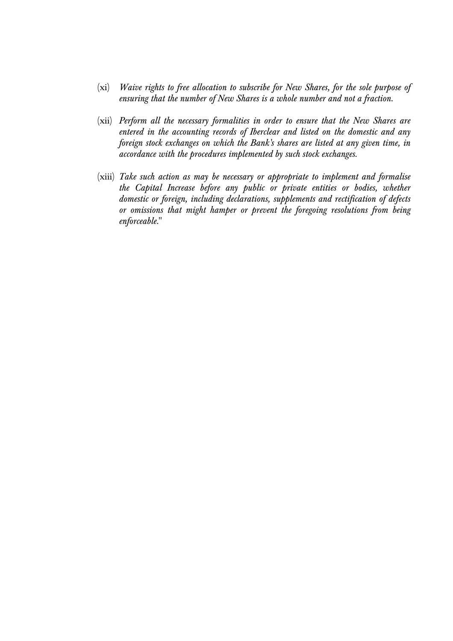- (xi) *Waive rights to free allocation to subscribe for New Shares, for the sole purpose of ensuring that the number of New Shares is a whole number and not a fraction.*
- (xii) *Perform all the necessary formalities in order to ensure that the New Shares are entered in the accounting records of Iberclear and listed on the domestic and any foreign stock exchanges on which the Bank's shares are listed at any given time, in accordance with the procedures implemented by such stock exchanges.*
- (xiii) *Take such action as may be necessary or appropriate to implement and formalise the Capital Increase before any public or private entities or bodies, whether domestic or foreign, including declarations, supplements and rectification of defects or omissions that might hamper or prevent the foregoing resolutions from being enforceable.*"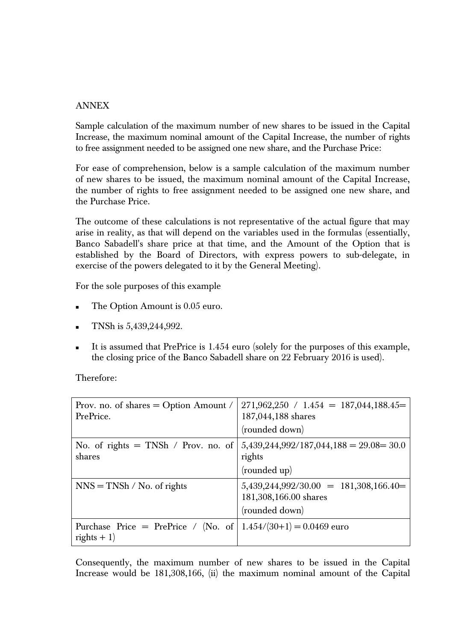## ANNEX

Sample calculation of the maximum number of new shares to be issued in the Capital Increase, the maximum nominal amount of the Capital Increase, the number of rights to free assignment needed to be assigned one new share, and the Purchase Price:

For ease of comprehension, below is a sample calculation of the maximum number of new shares to be issued, the maximum nominal amount of the Capital Increase, the number of rights to free assignment needed to be assigned one new share, and the Purchase Price.

The outcome of these calculations is not representative of the actual figure that may arise in reality, as that will depend on the variables used in the formulas (essentially, Banco Sabadell's share price at that time, and the Amount of the Option that is established by the Board of Directors, with express powers to sub-delegate, in exercise of the powers delegated to it by the General Meeting).

For the sole purposes of this example

- The Option Amount is 0.05 euro.
- TNSh is 5,439,244,992.
- It is assumed that PrePrice is 1.454 euro (solely for the purposes of this example, the closing price of the Banco Sabadell share on 22 February 2016 is used).

Therefore:

| Prov. no. of shares $=$ Option Amount /<br>PrePrice. | $271,962,250 / 1.454 = 187,044,188.45 =$<br>187,044,188 shares<br>(rounded down)    |
|------------------------------------------------------|-------------------------------------------------------------------------------------|
| No. of rights $=$ TNSh / Prov. no. of<br>shares      | $5,439,244,992/187,044,188 = 29.08 = 30.0$<br>rights<br>(rounded up)                |
| $NNS = TNSh / No.$ of rights                         | $5,439,244,992/30.00 = 181,308,166.40 =$<br>181,308,166.00 shares<br>(rounded down) |
| Purchase Price = PrePrice / (No. of<br>rights $+1$ ) | $1.454/(30+1) = 0.0469$ euro                                                        |

Consequently, the maximum number of new shares to be issued in the Capital Increase would be 181,308,166, (ii) the maximum nominal amount of the Capital